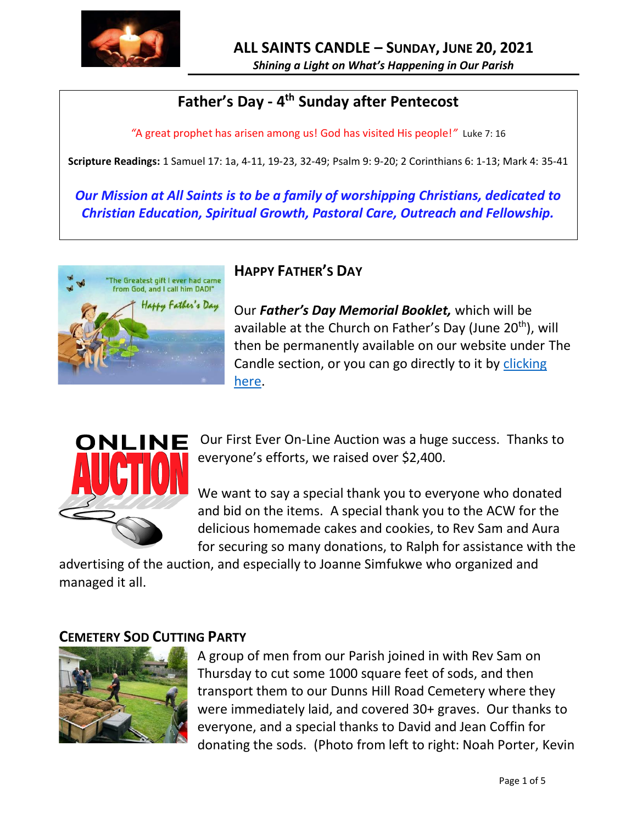

#### **Father's Day - 4 th Sunday after Pentecost**

*"*A great prophet has arisen among us! God has visited His people!*"* Luke 7: 16

**Scripture Readings:** 1 Samuel 17: 1a, 4-11, 19-23, 32-49; Psalm 9: 9-20; 2 Corinthians 6: 1-13; Mark 4: 35-41

*Our Mission at All Saints is to be a family of worshipping Christians, dedicated to Christian Education, Spiritual Growth, Pastoral Care, Outreach and Fellowship.*



#### **HAPPY FATHER'S DAY**

Our *Father's Day Memorial Booklet,* which will be available at the Church on Father's Day (June 20<sup>th</sup>), will then be permanently available on our website under The Candle section, or you can go directly to it by clicking [here.](http://allsaintsparish.ca/candle/2021%20Candle/2021%20Fathers%20Day%20210620.pdf)



Our First Ever On-Line Auction was a huge success. Thanks to everyone's efforts, we raised over \$2,400.

We want to say a special thank you to everyone who donated and bid on the items. A special thank you to the ACW for the delicious homemade cakes and cookies, to Rev Sam and Aura for securing so many donations, to Ralph for assistance with the

advertising of the auction, and especially to Joanne Simfukwe who organized and managed it all.

#### **CEMETERY SOD CUTTING PARTY**



A group of men from our Parish joined in with Rev Sam on Thursday to cut some 1000 square feet of sods, and then transport them to our Dunns Hill Road Cemetery where they were immediately laid, and covered 30+ graves. Our thanks to everyone, and a special thanks to David and Jean Coffin for donating the sods. (Photo from left to right: Noah Porter, Kevin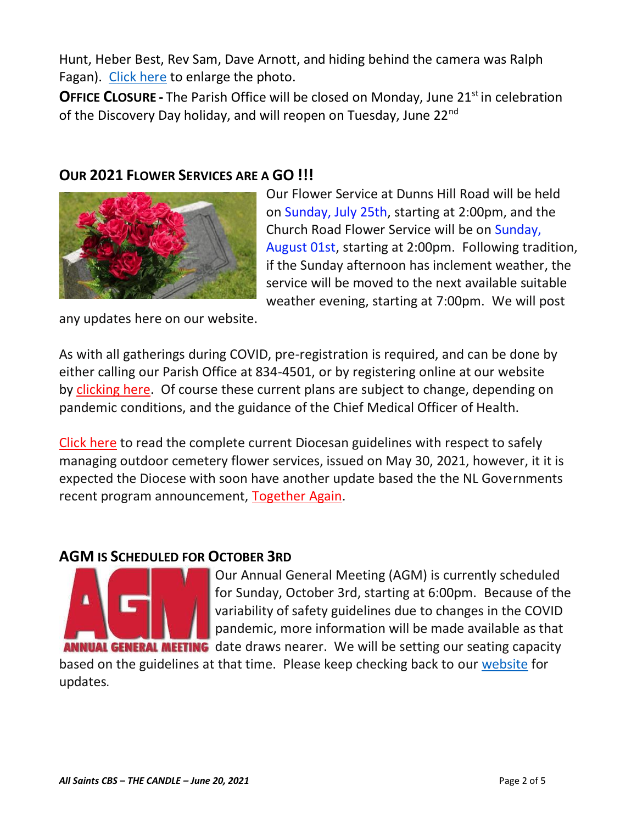Hunt, Heber Best, Rev Sam, Dave Arnott, and hiding behind the camera was Ralph Fagan). [Click here](http://allsaintsparish.ca/document_library/Sod%20Cutting%20Team%20210617.jpg) to enlarge the photo.

**OFFICE CLOSURE** - The Parish Office will be closed on Monday, June 21<sup>st</sup> in celebration of the Discovery Day holiday, and will reopen on Tuesday, June 22nd

#### **OUR 2021 FLOWER SERVICES ARE A GO !!!**



Our Flower Service at Dunns Hill Road will be held on Sunday, July 25th, starting at 2:00pm, and the Church Road Flower Service will be on Sunday, August 01st, starting at 2:00pm. Following tradition, if the Sunday afternoon has inclement weather, the service will be moved to the next available suitable weather evening, starting at 7:00pm. We will post

any updates here on our website.

As with all gatherings during COVID, pre-registration is required, and can be done by either calling our Parish Office at 834-4501, or by registering online at our website by [clicking here.](http://allsaintsparish.ca/covid-pre-registration-form) Of course these current plans are subject to change, depending on pandemic conditions, and the guidance of the Chief Medical Officer of Health.

[Click here](https://anglicanenl.net/home/wp-content/uploads/2021/05/Guidelines-for-Outdoor-Flower-services-May-2021.pdf) to read the complete current Diocesan guidelines with respect to safely managing outdoor cemetery flower services, issued on May 30, 2021, however, it it is expected the Diocese with soon have another update based the the NL Governments recent program announcement, [Together Again.](https://www.gov.nl.ca/covid-19/together-again/)

#### **AGM IS SCHEDULED FOR OCTOBER 3RD**



Our Annual General Meeting (AGM) is currently scheduled for Sunday, October 3rd, starting at 6:00pm. Because of the variability of safety guidelines due to changes in the COVID pandemic, more information will be made available as that **ANNUAL GENERAL MEETING** date draws nearer. We will be setting our seating capacity

based on the guidelines at that time. Please keep checking back to our [website](allsaintsparish.ca) for updates.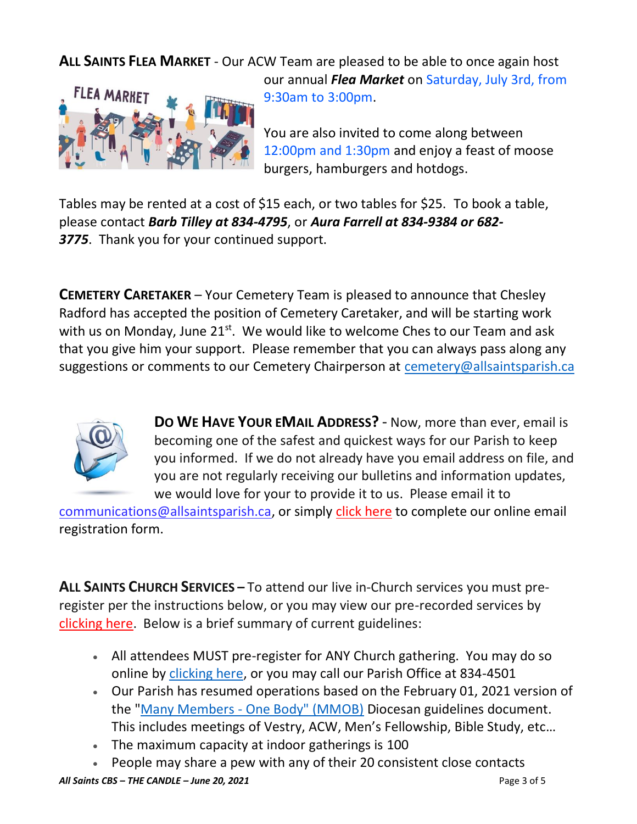### **ALL SAINTS FLEA MARKET** - Our ACW Team are pleased to be able to once again host



our annual *Flea Market* on Saturday, July 3rd, from 9:30am to 3:00pm.

You are also invited to come along between 12:00pm and 1:30pm and enjoy a feast of moose burgers, hamburgers and hotdogs.

Tables may be rented at a cost of \$15 each, or two tables for \$25. To book a table, please contact *Barb Tilley at 834-4795*, or *Aura Farrell at 834-9384 or 682- 3775*. Thank you for your continued support.

**CEMETERY CARETAKER** – Your Cemetery Team is pleased to announce that Chesley Radford has accepted the position of Cemetery Caretaker, and will be starting work with us on Monday, June  $21^{st}$ . We would like to welcome Ches to our Team and ask that you give him your support. Please remember that you can always pass along any suggestions or comments to our Cemetery Chairperson at [cemetery@allsaintsparish.ca](mailto:cemetery@allsaintsparish.ca?subject=Cemetery%20Feedback%20Comments)



**DO WE HAVE YOUR EMAIL ADDRESS?** - Now, more than ever, email is becoming one of the safest and quickest ways for our Parish to keep you informed. If we do not already have you email address on file, and you are not regularly receiving our bulletins and information updates, we would love for your to provide it to us. Please email it to

[communications@allsaintsparish.ca,](mailto:communications@allsaintsparish.ca?subject=eMail%20Address%20Update) or simply [click here](http://allsaintsparish.ca/email_updates) to complete our online email registration form.

**ALL SAINTS CHURCH SERVICES –** To attend our live in-Church services you must preregister per the instructions below, or you may view our pre-recorded services by [clicking here.](http://allsaintsparish.ca/recorded-church-services) Below is a brief summary of current guidelines:

- All attendees MUST pre-register for ANY Church gathering. You may do so online by [clicking here,](http://allsaintsparish.ca/covid-pre-registration-form) or you may call our Parish Office at 834-4501
- Our Parish has resumed operations based on the February 01, 2021 version of the "Many Members - [One Body" \(MMOB\)](https://anglicanenl.net/home/wp-content/uploads/2021/02/Many-Members-One-Body-February-2021.pdf) Diocesan guidelines document. This includes meetings of Vestry, ACW, Men's Fellowship, Bible Study, etc…
- The maximum capacity at indoor gatherings is 100
- People may share a pew with any of their 20 consistent close contacts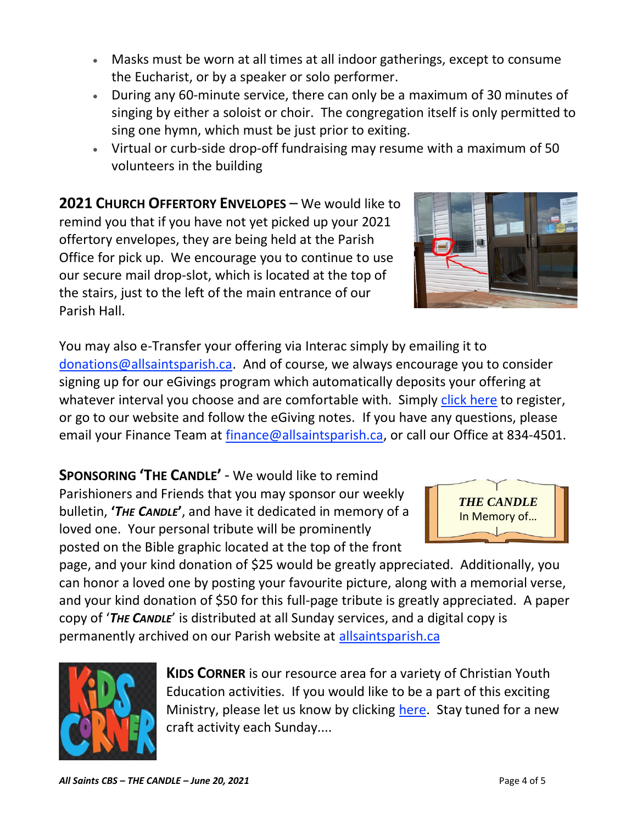- Masks must be worn at all times at all indoor gatherings, except to consume the Eucharist, or by a speaker or solo performer.
- During any 60-minute service, there can only be a maximum of 30 minutes of singing by either a soloist or choir. The congregation itself is only permitted to sing one hymn, which must be just prior to exiting.
- Virtual or curb-side drop-off fundraising may resume with a maximum of 50 volunteers in the building

**2021 CHURCH OFFERTORY ENVELOPES** – We would like to remind you that if you have not yet picked up your 2021 offertory envelopes, they are being held at the Parish Office for pick up. We encourage you to continue to use our secure mail drop-slot, which is located at the top of the stairs, just to the left of the main entrance of our Parish Hall.

You may also e-Transfer your offering via Interac simply by emailing it to [donations@allsaintsparish.ca.](mailto:donations@allsaintsparish.ca) And of course, we always encourage you to consider signing up for our eGivings program which automatically deposits your offering at whatever interval you choose and are comfortable with. Simply [click here](http://allsaintsparish.ca/egiving-online-information-form) to register, or go to our website and follow the eGiving notes. If you have [any](https://wfsites-to.websitecreatorprotool.com/870a5dd5.com/Admin/%7BSK_NODEID__22939341__SK%7D) questions, please email your Finance Team at [finance@allsaintsparish.ca,](mailto:finance@allsaintsparish.ca) or call our Office at 834-4501.

**SPONSORING 'THE CANDLE'** - We would like to remind Parishioners and Friends that you may sponsor our weekly bulletin, **'***THE CANDLE***'**, and have it dedicated in memory of a loved one. Your personal tribute will be prominently posted on the Bible graphic located at the top of the front

page, and your kind donation of \$25 would be greatly appreciated. Additionally, you can honor a loved one by posting your favourite picture, along with a memorial verse, and your kind donation of \$50 for this full-page tribute is greatly appreciated. A paper copy of '*THE CANDLE*' is distributed at all Sunday services, and a digital copy is permanently archived on our Parish website at [allsaintsparish.ca](http://allsaintsparish.ca/thecandle.html)

> **KIDS CORNER** is our resource area for a variety of Christian Youth Education activities. If you would like to be a part of this exciting Ministry, please let us know by clicking [here.](http://allsaintsparish.ca/index.html#comments) Stay tuned for a new craft activity each Sunday....